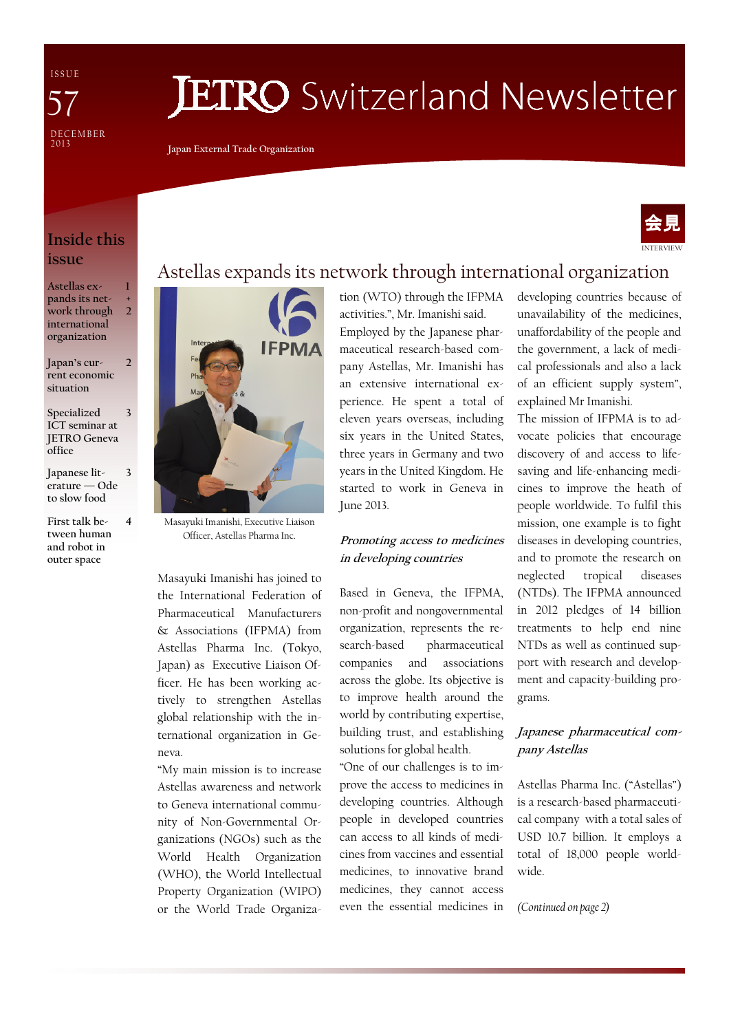I S S U E **DECEMBER** 2 0 1 3 57

# **JETRO** Switzerland Newsletter

Japan External Trade Organization

#### Inside this issue

Astellas expands its network through international organization 1 + 2

- Japan's current economic situation 2
- Specialized ICT seminar at JETRO Geneva office 3
- Japanese literature — Ode to slow food

3

4

First talk between human and robot in outer space

Masayuki Imanishi, Executive Liaison Officer, Astellas Pharma Inc.

Masayuki Imanishi has joined to the International Federation of Pharmaceutical Manufacturers & Associations (IFPMA) from Astellas Pharma Inc. (Tokyo, Japan) as Executive Liaison Officer. He has been working actively to strengthen Astellas global relationship with the international organization in Geneva.

"My main mission is to increase Astellas awareness and network to Geneva international community of Non-Governmental Organizations (NGOs) such as the World Health Organization (WHO), the World Intellectual Property Organization (WIPO) or the World Trade Organization (WTO) through the IFPMA

Astellas expands its network through international organization

activities.", Mr. Imanishi said. Employed by the Japanese pharmaceutical research-based company Astellas, Mr. Imanishi has an extensive international experience. He spent a total of eleven years overseas, including six years in the United States, three years in Germany and two years in the United Kingdom. He started to work in Geneva in June 2013.

#### Promoting access to medicines in developing countries

Based in Geneva, the IFPMA, non-profit and nongovernmental organization, represents the research-based pharmaceutical companies and associations across the globe. Its objective is to improve health around the world by contributing expertise, building trust, and establishing solutions for global health.

"One of our challenges is to improve the access to medicines in developing countries. Although people in developed countries can access to all kinds of medicines from vaccines and essential medicines, to innovative brand medicines, they cannot access even the essential medicines in developing countries because of unavailability of the medicines, unaffordability of the people and the government, a lack of medical professionals and also a lack of an efficient supply system", explained Mr Imanishi.

INTERVIEW

会見

The mission of IFPMA is to advocate policies that encourage discovery of and access to lifesaving and life-enhancing medicines to improve the heath of people worldwide. To fulfil this mission, one example is to fight diseases in developing countries, and to promote the research on neglected tropical diseases (NTDs). The IFPMA announced in 2012 pledges of 14 billion treatments to help end nine NTDs as well as continued support with research and development and capacity-building programs.

#### Japanese pharmaceutical company Astellas

Astellas Pharma Inc. ("Astellas") is a research-based pharmaceutical company with a total sales of USD 10.7 billion. It employs a total of 18,000 people worldwide.

(Continued on page 2)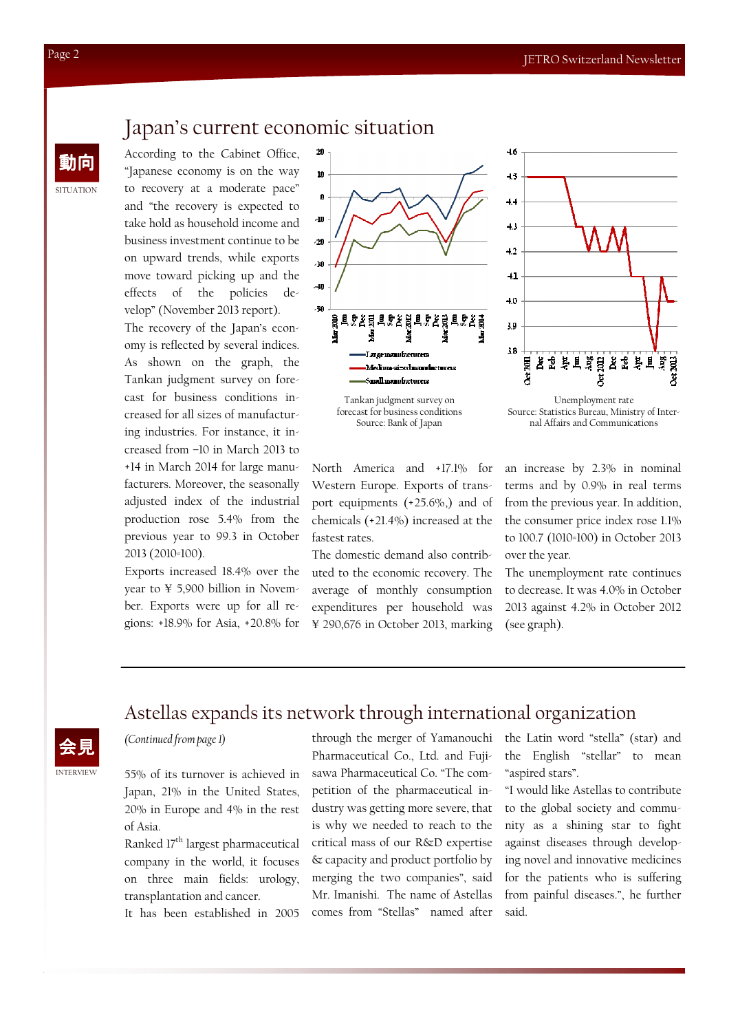# Japan's current economic situation

 $20$ 

動向 According to the Cabinet Office, "Japanese economy is on the way to recovery at a moderate pace" and "the recovery is expected to take hold as household income and business investment continue to be on upward trends, while exports move toward picking up and the effects of the policies develop" (November 2013 report).

> The recovery of the Japan's economy is reflected by several indices. As shown on the graph, the Tankan judgment survey on forecast for business conditions increased for all sizes of manufacturing industries. For instance, it increased from –10 in March 2013 to +14 in March 2014 for large manufacturers. Moreover, the seasonally adjusted index of the industrial production rose 5.4% from the previous year to 99.3 in October 2013 (2010=100).

> Exports increased 18.4% over the year to ¥ 5,900 billion in November. Exports were up for all regions: +18.9% for Asia, +20.8% for



forecast for business conditions Source: Bank of Japan

North America and +17.1% for Western Europe. Exports of transport equipments (+25.6%,) and of chemicals (+21.4%) increased at the fastest rates.

The domestic demand also contributed to the economic recovery. The average of monthly consumption expenditures per household was ¥ 290,676 in October 2013, marking



Source: Statistics Bureau, Ministry of Internal Affairs and Communications

an increase by 2.3% in nominal terms and by 0.9% in real terms from the previous year. In addition, the consumer price index rose 1.1% to 100.7 (1010=100) in October 2013 over the year.

The unemployment rate continues to decrease. It was 4.0% in October 2013 against 4.2% in October 2012 (see graph).

#### Astellas expands its network through international organization

(Continued from page 1)

INTERVIEW

55% of its turnover is achieved in Japan, 21% in the United States, 20% in Europe and 4% in the rest of Asia.

Ranked 17<sup>th</sup> largest pharmaceutical company in the world, it focuses on three main fields: urology, transplantation and cancer.

It has been established in 2005

through the merger of Yamanouchi Pharmaceutical Co., Ltd. and Fujisawa Pharmaceutical Co. "The competition of the pharmaceutical industry was getting more severe, that is why we needed to reach to the critical mass of our R&D expertise & capacity and product portfolio by merging the two companies", said Mr. Imanishi. The name of Astellas comes from "Stellas" named after

the Latin word "stella" (star) and the English "stellar" to mean "aspired stars".

"I would like Astellas to contribute to the global society and community as a shining star to fight against diseases through developing novel and innovative medicines for the patients who is suffering from painful diseases.", he further said.

SITUATION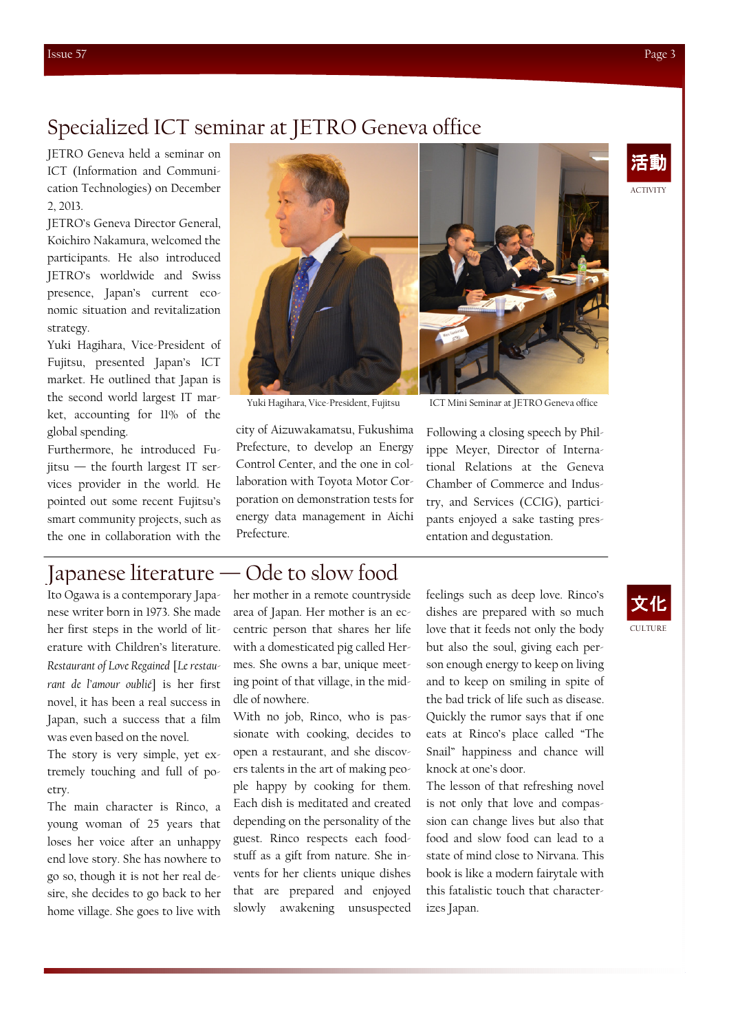# Specialized ICT seminar at JETRO Geneva office

JETRO Geneva held a seminar on ICT (Information and Communication Technologies) on December 2, 2013.

JETRO's Geneva Director General, Koichiro Nakamura, welcomed the participants. He also introduced JETRO's worldwide and Swiss presence, Japan's current economic situation and revitalization strategy.

Yuki Hagihara, Vice-President of Fujitsu, presented Japan's ICT market. He outlined that Japan is the second world largest IT market, accounting for 11% of the global spending.

Furthermore, he introduced Fujitsu — the fourth largest IT services provider in the world. He pointed out some recent Fujitsu's smart community projects, such as the one in collaboration with the



Yuki Hagihara, Vice-President, Fujitsu

city of Aizuwakamatsu, Fukushima Prefecture, to develop an Energy Control Center, and the one in collaboration with Toyota Motor Corporation on demonstration tests for energy data management in Aichi Prefecture.

Following a closing speech by Philippe Meyer, Director of International Relations at the Geneva Chamber of Commerce and Industry, and Services (CCIG), participants enjoyed a sake tasting presentation and degustation. ICT Mini Seminar at JETRO Geneva office

# Japanese literature — Ode to slow food

Ito Ogawa is a contemporary Japanese writer born in 1973. She made her first steps in the world of literature with Children's literature. Restaurant of Love Regained [Le restaurant de l'amour oublié] is her first novel, it has been a real success in Japan, such a success that a film was even based on the novel.

The story is very simple, yet extremely touching and full of poetry.

The main character is Rinco, a young woman of 25 years that loses her voice after an unhappy end love story. She has nowhere to go so, though it is not her real desire, she decides to go back to her home village. She goes to live with

her mother in a remote countryside area of Japan. Her mother is an eccentric person that shares her life with a domesticated pig called Hermes. She owns a bar, unique meeting point of that village, in the middle of nowhere.

With no job, Rinco, who is passionate with cooking, decides to open a restaurant, and she discovers talents in the art of making people happy by cooking for them. Each dish is meditated and created depending on the personality of the guest. Rinco respects each foodstuff as a gift from nature. She invents for her clients unique dishes that are prepared and enjoyed slowly awakening unsuspected

feelings such as deep love. Rinco's dishes are prepared with so much love that it feeds not only the body but also the soul, giving each person enough energy to keep on living and to keep on smiling in spite of the bad trick of life such as disease. Quickly the rumor says that if one eats at Rinco's place called "The Snail" happiness and chance will knock at one's door.

The lesson of that refreshing novel is not only that love and compassion can change lives but also that food and slow food can lead to a state of mind close to Nirvana. This book is like a modern fairytale with this fatalistic touch that characterizes Japan.